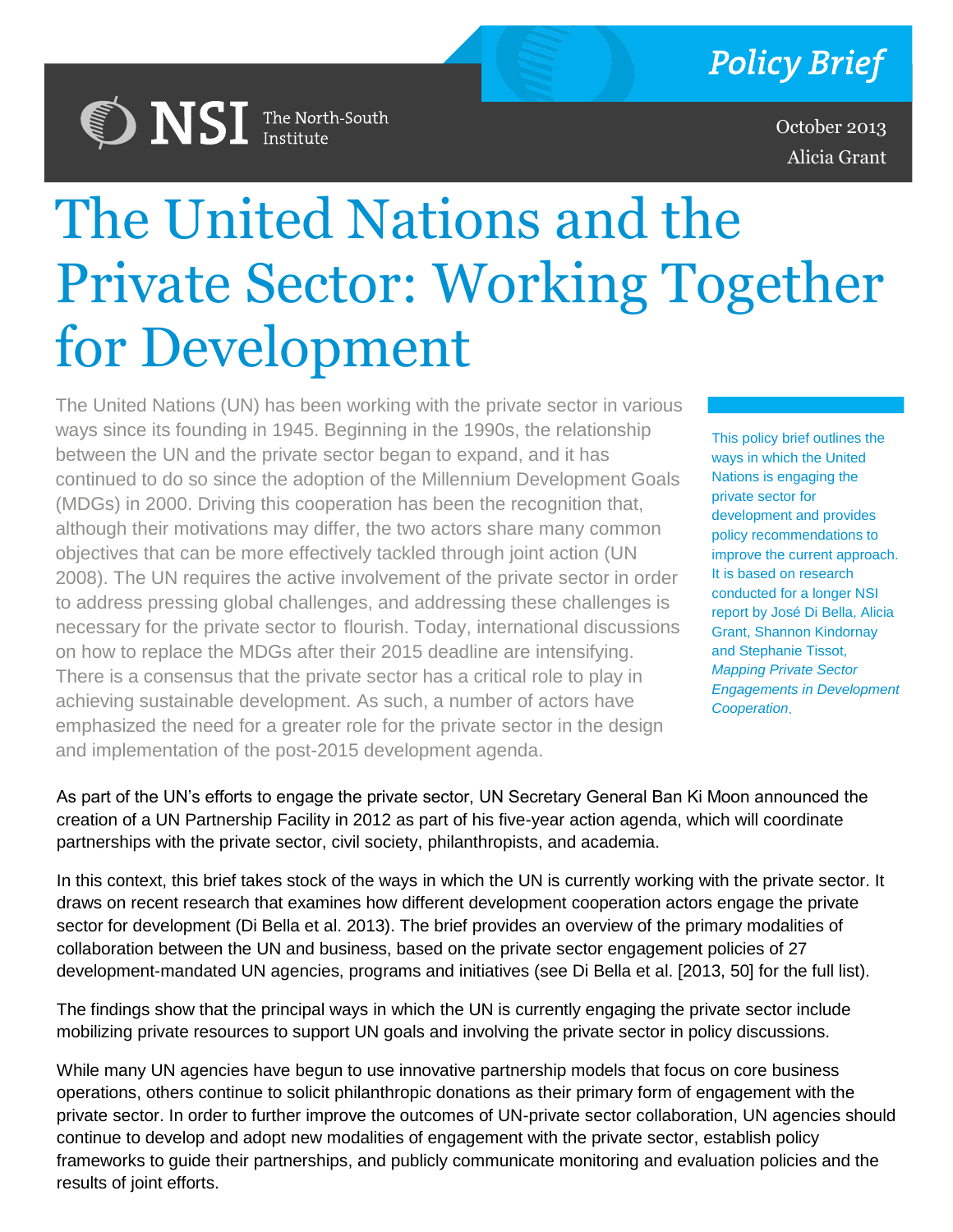

 $\bullet$  NSI The North-South

October 2013 Alicia Grant

# The United Nations and the Private Sector: Working Together for Development

The United Nations (UN) has been working with the private sector in various ways since its founding in 1945. Beginning in the 1990s, the relationship between the UN and the private sector began to expand, and it has continued to do so since the adoption of the Millennium Development Goals (MDGs) in 2000. Driving this cooperation has been the recognition that, although their motivations may differ, the two actors share many common objectives that can be more effectively tackled through joint action (UN 2008). The UN requires the active involvement of the private sector in order to address pressing global challenges, and addressing these challenges is necessary for the private sector to flourish. Today, international discussions on how to replace the MDGs after their 2015 deadline are intensifying. There is a consensus that the private sector has a critical role to play in achieving sustainable development. As such, a number of actors have emphasized the need for a greater role for the private sector in the design and implementation of the post-2015 development agenda.

This policy brief outlines the ways in which the United Nations is engaging the private sector for development and provides policy recommendations to improve the current approach. It is based on research conducted for a longer NSI report by José Di Bella, Alicia Grant, Shannon Kindornay and Stephanie Tissot, *Mapping Private Sector Engagements in Development Cooperation*.

As part of the UN's efforts to engage the private sector, UN Secretary General Ban Ki Moon announced the creation of a UN Partnership Facility in 2012 as part of his five-year action agenda, which will coordinate partnerships with the private sector, civil society, philanthropists, and academia.

In this context, this brief takes stock of the ways in which the UN is currently working with the private sector. It draws on recent research that examines how different development cooperation actors engage the private sector for development (Di Bella et al. 2013). The brief provides an overview of the primary modalities of collaboration between the UN and business, based on the private sector engagement policies of 27 development-mandated UN agencies, programs and initiatives (see Di Bella et al. [2013, 50] for the full list).

The findings show that the principal ways in which the UN is currently engaging the private sector include mobilizing private resources to support UN goals and involving the private sector in policy discussions.

While many UN agencies have begun to use innovative partnership models that focus on core business operations, others continue to solicit philanthropic donations as their primary form of engagement with the private sector. In order to further improve the outcomes of UN-private sector collaboration, UN agencies should continue to develop and adopt new modalities of engagement with the private sector, establish policy frameworks to guide their partnerships, and publicly communicate monitoring and evaluation policies and the results of joint efforts.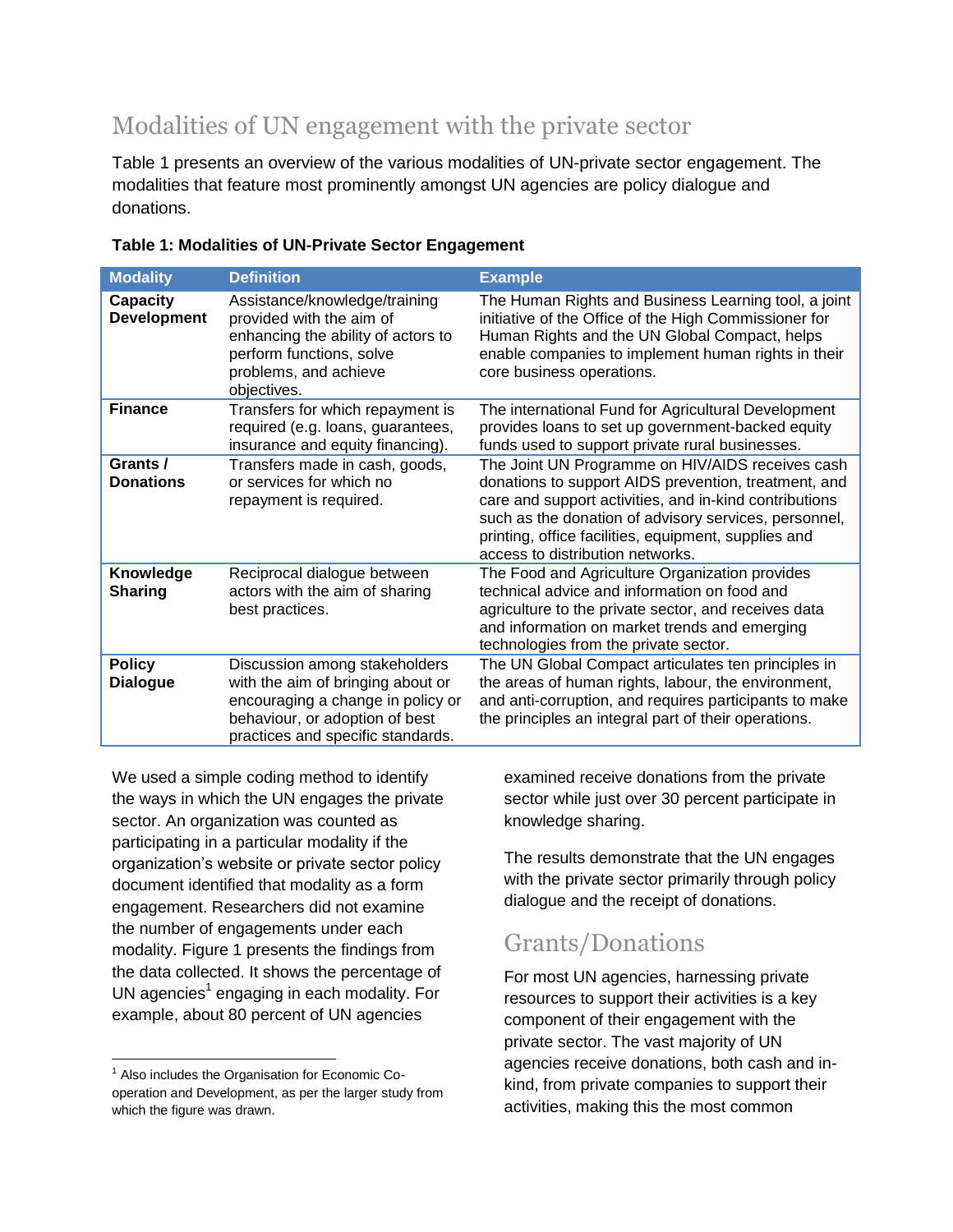## Modalities of UN engagement with the private sector

Table 1 presents an overview of the various modalities of UN-private sector engagement. The modalities that feature most prominently amongst UN agencies are policy dialogue and donations.

| <b>Modality</b>                       | <b>Definition</b>                                                                                                                                                              | <b>Example</b>                                                                                                                                                                                                                                                                                                          |
|---------------------------------------|--------------------------------------------------------------------------------------------------------------------------------------------------------------------------------|-------------------------------------------------------------------------------------------------------------------------------------------------------------------------------------------------------------------------------------------------------------------------------------------------------------------------|
| <b>Capacity</b><br><b>Development</b> | Assistance/knowledge/training<br>provided with the aim of<br>enhancing the ability of actors to<br>perform functions, solve<br>problems, and achieve<br>objectives.            | The Human Rights and Business Learning tool, a joint<br>initiative of the Office of the High Commissioner for<br>Human Rights and the UN Global Compact, helps<br>enable companies to implement human rights in their<br>core business operations.                                                                      |
| <b>Finance</b>                        | Transfers for which repayment is<br>required (e.g. loans, guarantees,<br>insurance and equity financing).                                                                      | The international Fund for Agricultural Development<br>provides loans to set up government-backed equity<br>funds used to support private rural businesses.                                                                                                                                                             |
| Grants /<br><b>Donations</b>          | Transfers made in cash, goods,<br>or services for which no<br>repayment is required.                                                                                           | The Joint UN Programme on HIV/AIDS receives cash<br>donations to support AIDS prevention, treatment, and<br>care and support activities, and in-kind contributions<br>such as the donation of advisory services, personnel,<br>printing, office facilities, equipment, supplies and<br>access to distribution networks. |
| Knowledge<br><b>Sharing</b>           | Reciprocal dialogue between<br>actors with the aim of sharing<br>best practices.                                                                                               | The Food and Agriculture Organization provides<br>technical advice and information on food and<br>agriculture to the private sector, and receives data<br>and information on market trends and emerging<br>technologies from the private sector.                                                                        |
| <b>Policy</b><br><b>Dialogue</b>      | Discussion among stakeholders<br>with the aim of bringing about or<br>encouraging a change in policy or<br>behaviour, or adoption of best<br>practices and specific standards. | The UN Global Compact articulates ten principles in<br>the areas of human rights, labour, the environment,<br>and anti-corruption, and requires participants to make<br>the principles an integral part of their operations.                                                                                            |

#### **Table 1: Modalities of UN-Private Sector Engagement**

We used a simple coding method to identify the ways in which the UN engages the private sector. An organization was counted as participating in a particular modality if the organization's website or private sector policy document identified that modality as a form engagement. Researchers did not examine the number of engagements under each modality. Figure 1 presents the findings from the data collected. It shows the percentage of UN agencies<sup>1</sup> engaging in each modality. For example, about 80 percent of UN agencies

 $\overline{\phantom{a}}$ 

examined receive donations from the private sector while just over 30 percent participate in knowledge sharing.

The results demonstrate that the UN engages with the private sector primarily through policy dialogue and the receipt of donations.

#### Grants/Donations

For most UN agencies, harnessing private resources to support their activities is a key component of their engagement with the private sector. The vast majority of UN agencies receive donations, both cash and inkind, from private companies to support their activities, making this the most common

 $1$  Also includes the Organisation for Economic Cooperation and Development, as per the larger study from which the figure was drawn.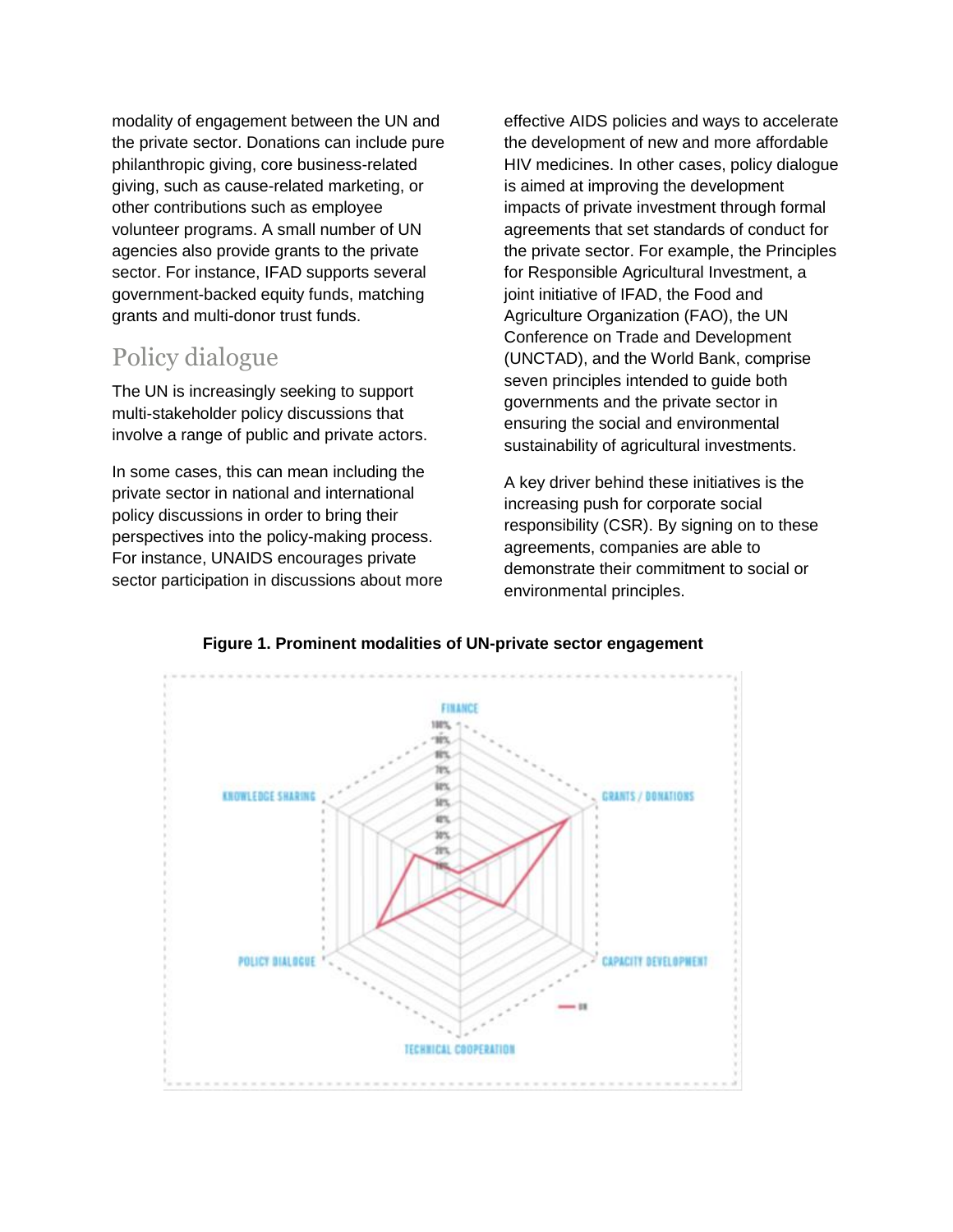modality of engagement between the UN and the private sector. Donations can include pure philanthropic giving, core business-related giving, such as cause-related marketing, or other contributions such as employee volunteer programs. A small number of UN agencies also provide grants to the private sector. For instance, IFAD supports several government-backed equity funds, matching grants and multi-donor trust funds.

### Policy dialogue

The UN is increasingly seeking to support multi-stakeholder policy discussions that involve a range of public and private actors.

In some cases, this can mean including the private sector in national and international policy discussions in order to bring their perspectives into the policy-making process. For instance, UNAIDS encourages private sector participation in discussions about more effective AIDS policies and ways to accelerate the development of new and more affordable HIV medicines. In other cases, policy dialogue is aimed at improving the development impacts of private investment through formal agreements that set standards of conduct for the private sector. For example, the Principles for Responsible Agricultural Investment, a joint initiative of IFAD, the Food and Agriculture Organization (FAO), the UN Conference on Trade and Development (UNCTAD), and the World Bank, comprise seven principles intended to guide both governments and the private sector in ensuring the social and environmental sustainability of agricultural investments.

A key driver behind these initiatives is the increasing push for corporate social responsibility (CSR). By signing on to these agreements, companies are able to demonstrate their commitment to social or environmental principles.



**Figure 1. Prominent modalities of UN-private sector engagement**